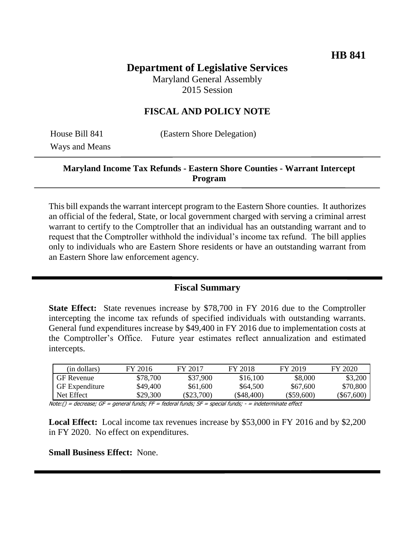# **Department of Legislative Services**

Maryland General Assembly 2015 Session

## **FISCAL AND POLICY NOTE**

Ways and Means

House Bill 841 (Eastern Shore Delegation)

### **Maryland Income Tax Refunds - Eastern Shore Counties - Warrant Intercept Program**

This bill expands the warrant intercept program to the Eastern Shore counties. It authorizes an official of the federal, State, or local government charged with serving a criminal arrest warrant to certify to the Comptroller that an individual has an outstanding warrant and to request that the Comptroller withhold the individual's income tax refund. The bill applies only to individuals who are Eastern Shore residents or have an outstanding warrant from an Eastern Shore law enforcement agency.

#### **Fiscal Summary**

**State Effect:** State revenues increase by \$78,700 in FY 2016 due to the Comptroller intercepting the income tax refunds of specified individuals with outstanding warrants. General fund expenditures increase by \$49,400 in FY 2016 due to implementation costs at the Comptroller's Office. Future year estimates reflect annualization and estimated intercepts.

| (in dollars)          | FY 2016  | FY 2017    | FY 2018    | FY 2019      | FY 2020    |
|-----------------------|----------|------------|------------|--------------|------------|
| <b>GF</b> Revenue     | \$78,700 | \$37,900   | \$16,100   | \$8,000      | \$3,200    |
| <b>GF</b> Expenditure | \$49,400 | \$61,600   | \$64,500   | \$67,600     | \$70,800   |
| Net Effect            | \$29,300 | (\$23.700) | (\$48.400) | $(\$59.600)$ | (\$67,600) |

Note:() = decrease; GF = general funds; FF = federal funds; SF = special funds; - = indeterminate effect

**Local Effect:** Local income tax revenues increase by \$53,000 in FY 2016 and by \$2,200 in FY 2020. No effect on expenditures.

**Small Business Effect:** None.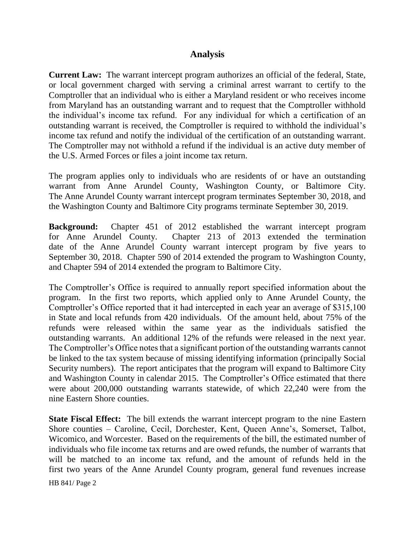#### **Analysis**

**Current Law:** The warrant intercept program authorizes an official of the federal, State, or local government charged with serving a criminal arrest warrant to certify to the Comptroller that an individual who is either a Maryland resident or who receives income from Maryland has an outstanding warrant and to request that the Comptroller withhold the individual's income tax refund. For any individual for which a certification of an outstanding warrant is received, the Comptroller is required to withhold the individual's income tax refund and notify the individual of the certification of an outstanding warrant. The Comptroller may not withhold a refund if the individual is an active duty member of the U.S. Armed Forces or files a joint income tax return.

The program applies only to individuals who are residents of or have an outstanding warrant from Anne Arundel County, Washington County, or Baltimore City. The Anne Arundel County warrant intercept program terminates September 30, 2018, and the Washington County and Baltimore City programs terminate September 30, 2019.

**Background:** Chapter 451 of 2012 established the warrant intercept program for Anne Arundel County. Chapter 213 of 2013 extended the termination date of the Anne Arundel County warrant intercept program by five years to September 30, 2018. Chapter 590 of 2014 extended the program to Washington County, and Chapter 594 of 2014 extended the program to Baltimore City.

The Comptroller's Office is required to annually report specified information about the program. In the first two reports, which applied only to Anne Arundel County, the Comptroller's Office reported that it had intercepted in each year an average of \$315,100 in State and local refunds from 420 individuals. Of the amount held, about 75% of the refunds were released within the same year as the individuals satisfied the outstanding warrants. An additional 12% of the refunds were released in the next year. The Comptroller's Office notes that a significant portion of the outstanding warrants cannot be linked to the tax system because of missing identifying information (principally Social Security numbers). The report anticipates that the program will expand to Baltimore City and Washington County in calendar 2015. The Comptroller's Office estimated that there were about 200,000 outstanding warrants statewide, of which 22,240 were from the nine Eastern Shore counties.

**State Fiscal Effect:** The bill extends the warrant intercept program to the nine Eastern Shore counties – Caroline, Cecil, Dorchester, Kent, Queen Anne's, Somerset, Talbot, Wicomico, and Worcester. Based on the requirements of the bill, the estimated number of individuals who file income tax returns and are owed refunds, the number of warrants that will be matched to an income tax refund, and the amount of refunds held in the first two years of the Anne Arundel County program, general fund revenues increase

HB 841/ Page 2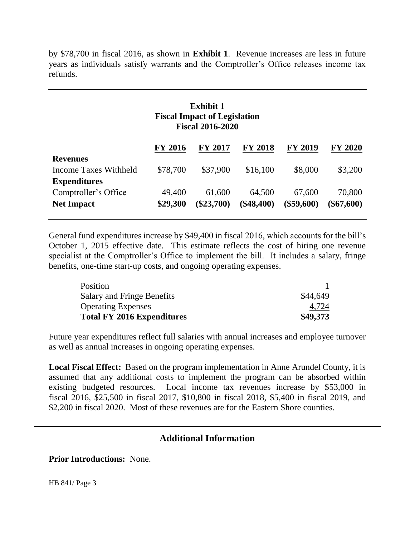by \$78,700 in fiscal 2016, as shown in **Exhibit 1**.Revenue increases are less in future years as individuals satisfy warrants and the Comptroller's Office releases income tax refunds.

# **Exhibit 1 Fiscal Impact of Legislation Fiscal 2016-2020**

|                       | <b>FY 2016</b> | <b>FY 2017</b> | <b>FY 2018</b> | <b>FY 2019</b> | <b>FY 2020</b> |
|-----------------------|----------------|----------------|----------------|----------------|----------------|
| <b>Revenues</b>       |                |                |                |                |                |
| Income Taxes Withheld | \$78,700       | \$37,900       | \$16,100       | \$8,000        | \$3,200        |
| <b>Expenditures</b>   |                |                |                |                |                |
| Comptroller's Office  | 49,400         | 61,600         | 64,500         | 67,600         | 70,800         |
| <b>Net Impact</b>     | \$29,300       | $(\$23,700)$   | $(\$48,400)$   | $(\$59,600)$   | $(\$67,600)$   |
|                       |                |                |                |                |                |

General fund expenditures increase by \$49,400 in fiscal 2016, which accounts for the bill's October 1, 2015 effective date. This estimate reflects the cost of hiring one revenue specialist at the Comptroller's Office to implement the bill. It includes a salary, fringe benefits, one-time start-up costs, and ongoing operating expenses.

| Position                          |          |
|-----------------------------------|----------|
| <b>Salary and Fringe Benefits</b> | \$44,649 |
| <b>Operating Expenses</b>         | 4,724    |
| <b>Total FY 2016 Expenditures</b> | \$49,373 |

Future year expenditures reflect full salaries with annual increases and employee turnover as well as annual increases in ongoing operating expenses.

**Local Fiscal Effect:** Based on the program implementation in Anne Arundel County, it is assumed that any additional costs to implement the program can be absorbed within existing budgeted resources. Local income tax revenues increase by \$53,000 in fiscal 2016, \$25,500 in fiscal 2017, \$10,800 in fiscal 2018, \$5,400 in fiscal 2019, and \$2,200 in fiscal 2020. Most of these revenues are for the Eastern Shore counties.

# **Additional Information**

**Prior Introductions:** None.